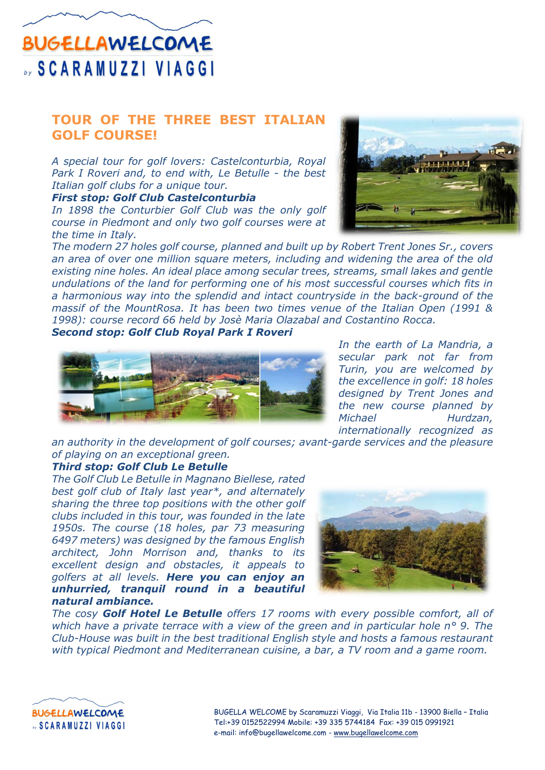## **BUGELLAWELCOME SCARAMUZZI VIAGGI**

### **TOUR OF THE THREE BEST ITALIAN GOLF COURSE!**

*A special tour for golf lovers: Castelconturbia, Royal Park I Roveri and, to end with, Le Betulle - the best Italian golf clubs for a unique tour.* 

*First stop: Golf Club Castelconturbia*

*In 1898 the Conturbier Golf Club was the only golf course in Piedmont and only two golf courses were at the time in Italy.* 



*The modern 27 holes golf course, planned and built up by Robert Trent Jones Sr., covers an area of over one million square meters, including and widening the area of the old existing nine holes. An ideal place among secular trees, streams, small lakes and gentle undulations of the land for performing one of his most successful courses which fits in a harmonious way into the splendid and intact countryside in the back-ground of the massif of the MountRosa. It has been two times venue of the Italian Open (1991 & 1998): course record 66 held by Josè Maria Olazabal and Costantino Rocca.*

*Second stop: Golf Club Royal Park I Roveri*



*In the earth of La Mandria, a secular park not far from Turin, you are welcomed by the excellence in golf: 18 holes designed by Trent Jones and the new course planned by Michael Hurdzan, internationally recognized as* 

*an authority in the development of golf courses; avant-garde services and the pleasure of playing on an exceptional green.*

#### *Third stop: Golf Club Le Betulle*

*The Golf Club Le Betulle in Magnano Biellese, rated best golf club of Italy last year\*, and alternately sharing the three top positions with the other golf clubs included in this tour, was founded in the late 1950s. The course (18 holes, par 73 measuring 6497 meters) was designed by the famous English architect, John Morrison and, thanks to its excellent design and obstacles, it appeals to golfers at all levels. Here you can enjoy an unhurried, tranquil round in a beautiful natural ambiance.*



*The cosy Golf Hotel Le Betulle offers 17 rooms with every possible comfort, all of which have a private terrace with a view of the green and in particular hole n° 9. The Club-House was built in the best traditional English style and hosts a famous restaurant with typical Piedmont and Mediterranean cuisine, a bar, a TV room and a game room.*



BUGELLA WELCOME by Scaramuzzi Viaggi, Via Italia 11b - 13900 Biella – Italia Tel:+39 0152522994 Mobile: +39 335 5744184 Fax: +39 015 0991921 e-mail: info@bugellawelcome.com - [www.bugellawelcome.com](http://www.bugellawelcome.com/)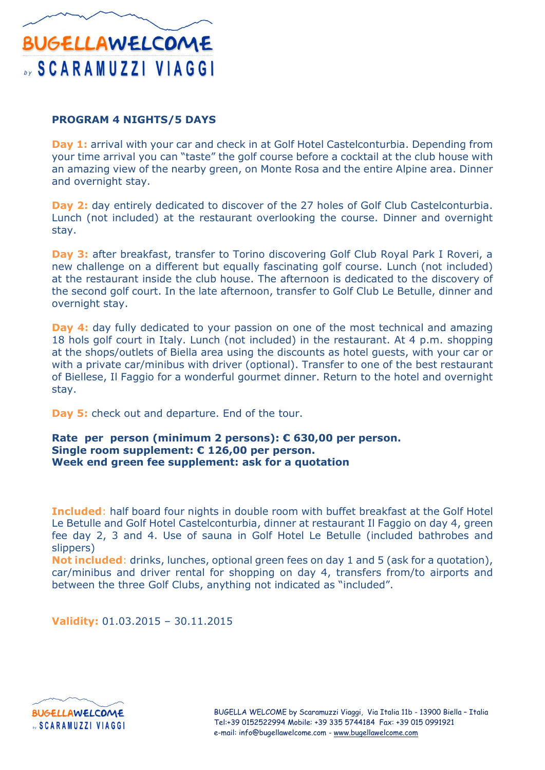# **BUGELLAWELCOME SCARAMUZZI VIAGGI**

#### **PROGRAM 4 NIGHTS/5 DAYS**

**Day 1:** arrival with your car and check in at Golf Hotel Castelconturbia. Depending from your time arrival you can "taste" the golf course before a cocktail at the club house with an amazing view of the nearby green, on Monte Rosa and the entire Alpine area. Dinner and overnight stay.

**Day 2:** day entirely dedicated to discover of the 27 holes of Golf Club Castelconturbia. Lunch (not included) at the restaurant overlooking the course. Dinner and overnight stay.

**Day 3:** after breakfast, transfer to Torino discovering Golf Club Royal Park I Roveri, a new challenge on a different but equally fascinating golf course. Lunch (not included) at the restaurant inside the club house. The afternoon is dedicated to the discovery of the second golf court. In the late afternoon, transfer to Golf Club Le Betulle, dinner and overnight stay.

**Day 4:** day fully dedicated to your passion on one of the most technical and amazing 18 hols golf court in Italy. Lunch (not included) in the restaurant. At 4 p.m. shopping at the shops/outlets of Biella area using the discounts as hotel guests, with your car or with a private car/minibus with driver (optional). Transfer to one of the best restaurant of Biellese, Il Faggio for a wonderful gourmet dinner. Return to the hotel and overnight stay.

**Day 5:** check out and departure. End of the tour.

#### **Rate per person (minimum 2 persons): € 630,00 per person. Single room supplement: € 126,00 per person. Week end green fee supplement: ask for a quotation**

**Included**: half board four nights in double room with buffet breakfast at the Golf Hotel Le Betulle and Golf Hotel Castelconturbia, dinner at restaurant Il Faggio on day 4, green fee day 2, 3 and 4. Use of sauna in Golf Hotel Le Betulle (included bathrobes and slippers)

**Not included**: drinks, lunches, optional green fees on day 1 and 5 (ask for a quotation), car/minibus and driver rental for shopping on day 4, transfers from/to airports and between the three Golf Clubs, anything not indicated as "included".

**Validity:** 01.03.2015 – 30.11.2015